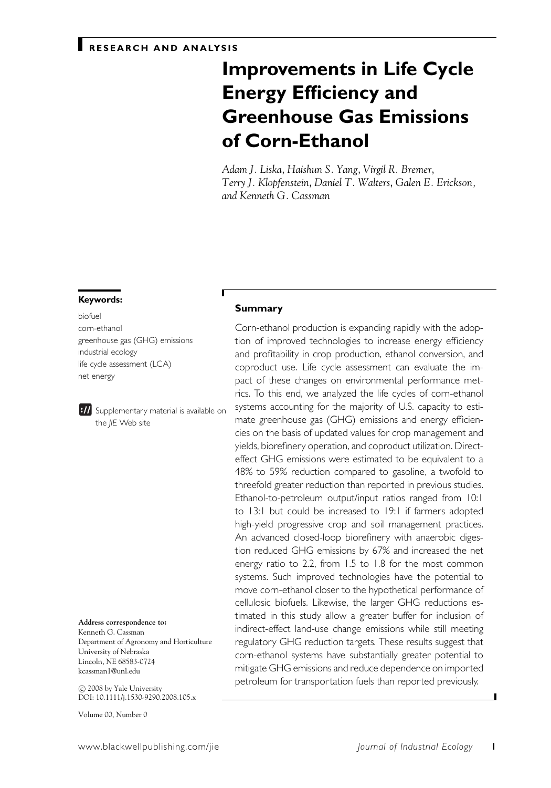# **Improvements in Life Cycle Energy Efficiency and Greenhouse Gas Emissions of Corn-Ethanol**

*Adam J. Liska*, *Haishun S. Yang*, *Virgil R. Bremer*, *Terry J. Klopfenstein*, *Daniel T. Walters*, *Galen E. Erickson, and Kenneth G. Cassman*

#### **Keywords:**

biofuel corn-ethanol greenhouse gas (GHG) emissions industrial ecology life cycle assessment (LCA) net energy

**BI** Supplementary material is available on the *JIE* Web site

#### **Address correspondence to:** Kenneth G. Cassman Department of Agronomy and Horticulture

University of Nebraska Lincoln, NE 68583-0724 kcassman1@unl.edu

-c 2008 by Yale University DOI: 10.1111/j.1530-9290.2008.105.x

Volume 00, Number 0

#### **Summary**

Corn-ethanol production is expanding rapidly with the adoption of improved technologies to increase energy efficiency and profitability in crop production, ethanol conversion, and coproduct use. Life cycle assessment can evaluate the impact of these changes on environmental performance metrics. To this end, we analyzed the life cycles of corn-ethanol systems accounting for the majority of U.S. capacity to estimate greenhouse gas (GHG) emissions and energy efficiencies on the basis of updated values for crop management and yields, biorefinery operation, and coproduct utilization. Directeffect GHG emissions were estimated to be equivalent to a 48% to 59% reduction compared to gasoline, a twofold to threefold greater reduction than reported in previous studies. Ethanol-to-petroleum output/input ratios ranged from 10:1 to 13:1 but could be increased to 19:1 if farmers adopted high-yield progressive crop and soil management practices. An advanced closed-loop biorefinery with anaerobic digestion reduced GHG emissions by 67% and increased the net energy ratio to 2.2, from 1.5 to 1.8 for the most common systems. Such improved technologies have the potential to move corn-ethanol closer to the hypothetical performance of cellulosic biofuels. Likewise, the larger GHG reductions estimated in this study allow a greater buffer for inclusion of indirect-effect land-use change emissions while still meeting regulatory GHG reduction targets. These results suggest that corn-ethanol systems have substantially greater potential to mitigate GHG emissions and reduce dependence on imported petroleum for transportation fuels than reported previously.

П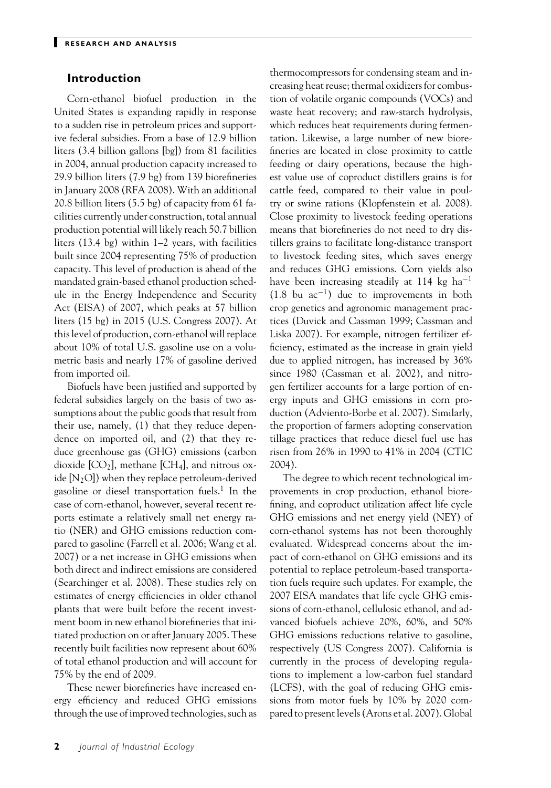## **Introduction**

Corn-ethanol biofuel production in the United States is expanding rapidly in response to a sudden rise in petroleum prices and supportive federal subsidies. From a base of 12.9 billion liters (3.4 billion gallons [bg]) from 81 facilities in 2004, annual production capacity increased to 29.9 billion liters (7.9 bg) from 139 biorefineries in January 2008 (RFA 2008). With an additional 20.8 billion liters (5.5 bg) of capacity from 61 facilities currently under construction, total annual production potential will likely reach 50.7 billion liters (13.4 bg) within 1–2 years, with facilities built since 2004 representing 75% of production capacity. This level of production is ahead of the mandated grain-based ethanol production schedule in the Energy Independence and Security Act (EISA) of 2007, which peaks at 57 billion liters (15 bg) in 2015 (U.S. Congress 2007). At this level of production, corn-ethanol will replace about 10% of total U.S. gasoline use on a volumetric basis and nearly 17% of gasoline derived from imported oil.

Biofuels have been justified and supported by federal subsidies largely on the basis of two assumptions about the public goods that result from their use, namely, (1) that they reduce dependence on imported oil, and (2) that they reduce greenhouse gas (GHG) emissions (carbon dioxide  $[CO_2]$ , methane  $[CH_4]$ , and nitrous oxide  $[N_2O]$ ) when they replace petroleum-derived gasoline or diesel transportation fuels.<sup>1</sup> In the case of corn-ethanol, however, several recent reports estimate a relatively small net energy ratio (NER) and GHG emissions reduction compared to gasoline (Farrell et al. 2006; Wang et al. 2007) or a net increase in GHG emissions when both direct and indirect emissions are considered (Searchinger et al. 2008). These studies rely on estimates of energy efficiencies in older ethanol plants that were built before the recent investment boom in new ethanol biorefineries that initiated production on or after January 2005. These recently built facilities now represent about 60% of total ethanol production and will account for 75% by the end of 2009.

These newer biorefineries have increased energy efficiency and reduced GHG emissions through the use of improved technologies, such as thermocompressors for condensing steam and increasing heat reuse; thermal oxidizers for combustion of volatile organic compounds (VOCs) and waste heat recovery; and raw-starch hydrolysis, which reduces heat requirements during fermentation. Likewise, a large number of new biorefineries are located in close proximity to cattle feeding or dairy operations, because the highest value use of coproduct distillers grains is for cattle feed, compared to their value in poultry or swine rations (Klopfenstein et al. 2008). Close proximity to livestock feeding operations means that biorefineries do not need to dry distillers grains to facilitate long-distance transport to livestock feeding sites, which saves energy and reduces GHG emissions. Corn yields also have been increasing steadily at 114 kg ha<sup>-1</sup> (1.8 bu ac−1) due to improvements in both crop genetics and agronomic management practices (Duvick and Cassman 1999; Cassman and Liska 2007). For example, nitrogen fertilizer efficiency, estimated as the increase in grain yield due to applied nitrogen, has increased by 36% since 1980 (Cassman et al. 2002), and nitrogen fertilizer accounts for a large portion of energy inputs and GHG emissions in corn production (Adviento-Borbe et al. 2007). Similarly, the proportion of farmers adopting conservation tillage practices that reduce diesel fuel use has risen from 26% in 1990 to 41% in 2004 (CTIC 2004).

The degree to which recent technological improvements in crop production, ethanol biorefining, and coproduct utilization affect life cycle GHG emissions and net energy yield (NEY) of corn-ethanol systems has not been thoroughly evaluated. Widespread concerns about the impact of corn-ethanol on GHG emissions and its potential to replace petroleum-based transportation fuels require such updates. For example, the 2007 EISA mandates that life cycle GHG emissions of corn-ethanol, cellulosic ethanol, and advanced biofuels achieve 20%, 60%, and 50% GHG emissions reductions relative to gasoline, respectively (US Congress 2007). California is currently in the process of developing regulations to implement a low-carbon fuel standard (LCFS), with the goal of reducing GHG emissions from motor fuels by 10% by 2020 compared to present levels (Arons et al. 2007). Global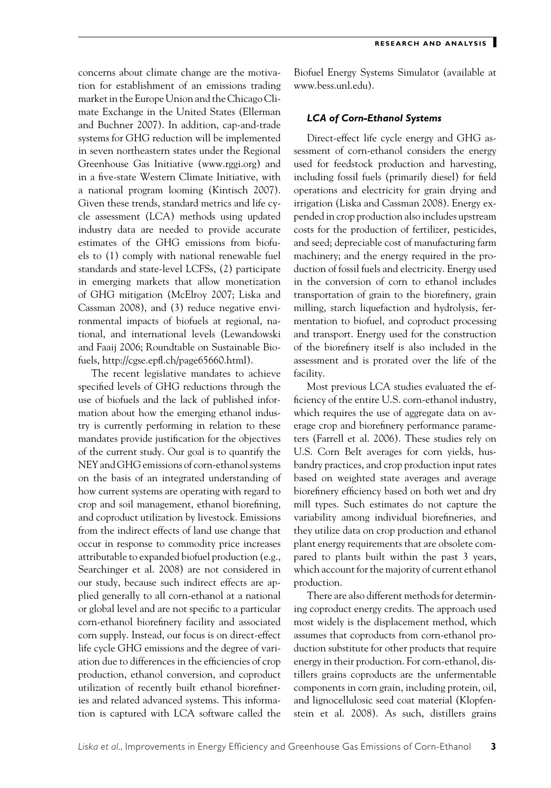Biofuel Energy Systems Simulator (available at

**RESEARCH AND ANALYSIS** 

concerns about climate change are the motivation for establishment of an emissions trading market in the Europe Union and the Chicago Climate Exchange in the United States (Ellerman and Buchner 2007). In addition, cap-and-trade systems for GHG reduction will be implemented in seven northeastern states under the Regional Greenhouse Gas Initiative (www.rggi.org) and in a five-state Western Climate Initiative, with a national program looming (Kintisch 2007). Given these trends, standard metrics and life cycle assessment (LCA) methods using updated industry data are needed to provide accurate estimates of the GHG emissions from biofuels to (1) comply with national renewable fuel standards and state-level LCFSs, (2) participate in emerging markets that allow monetization of GHG mitigation (McElroy 2007; Liska and Cassman 2008), and (3) reduce negative environmental impacts of biofuels at regional, national, and international levels (Lewandowski and Faaij 2006; Roundtable on Sustainable Biofuels, http://cgse.epfl.ch/page65660.html).

The recent legislative mandates to achieve specified levels of GHG reductions through the use of biofuels and the lack of published information about how the emerging ethanol industry is currently performing in relation to these mandates provide justification for the objectives of the current study. Our goal is to quantify the NEY and GHG emissions of corn-ethanol systems on the basis of an integrated understanding of how current systems are operating with regard to crop and soil management, ethanol biorefining, and coproduct utilization by livestock. Emissions from the indirect effects of land use change that occur in response to commodity price increases attributable to expanded biofuel production (e.g., Searchinger et al. 2008) are not considered in our study, because such indirect effects are applied generally to all corn-ethanol at a national or global level and are not specific to a particular corn-ethanol biorefinery facility and associated corn supply. Instead, our focus is on direct-effect life cycle GHG emissions and the degree of variation due to differences in the efficiencies of crop production, ethanol conversion, and coproduct utilization of recently built ethanol biorefineries and related advanced systems. This information is captured with LCA software called the *LCA of Corn-Ethanol Systems*

www.bess.unl.edu).

Direct-effect life cycle energy and GHG assessment of corn-ethanol considers the energy used for feedstock production and harvesting, including fossil fuels (primarily diesel) for field operations and electricity for grain drying and irrigation (Liska and Cassman 2008). Energy expended in crop production also includes upstream costs for the production of fertilizer, pesticides, and seed; depreciable cost of manufacturing farm machinery; and the energy required in the production of fossil fuels and electricity. Energy used in the conversion of corn to ethanol includes transportation of grain to the biorefinery, grain milling, starch liquefaction and hydrolysis, fermentation to biofuel, and coproduct processing and transport. Energy used for the construction of the biorefinery itself is also included in the assessment and is prorated over the life of the facility.

Most previous LCA studies evaluated the efficiency of the entire U.S. corn-ethanol industry, which requires the use of aggregate data on average crop and biorefinery performance parameters (Farrell et al. 2006). These studies rely on U.S. Corn Belt averages for corn yields, husbandry practices, and crop production input rates based on weighted state averages and average biorefinery efficiency based on both wet and dry mill types. Such estimates do not capture the variability among individual biorefineries, and they utilize data on crop production and ethanol plant energy requirements that are obsolete compared to plants built within the past 3 years, which account for the majority of current ethanol production.

There are also different methods for determining coproduct energy credits. The approach used most widely is the displacement method, which assumes that coproducts from corn-ethanol production substitute for other products that require energy in their production. For corn-ethanol, distillers grains coproducts are the unfermentable components in corn grain, including protein, oil, and lignocellulosic seed coat material (Klopfenstein et al. 2008). As such, distillers grains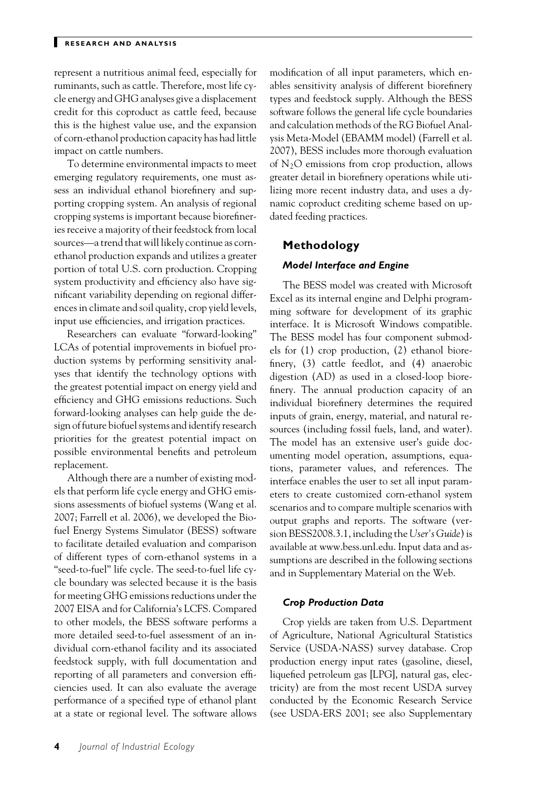represent a nutritious animal feed, especially for ruminants, such as cattle. Therefore, most life cycle energy and GHG analyses give a displacement credit for this coproduct as cattle feed, because this is the highest value use, and the expansion of corn-ethanol production capacity has had little impact on cattle numbers.

To determine environmental impacts to meet emerging regulatory requirements, one must assess an individual ethanol biorefinery and supporting cropping system. An analysis of regional cropping systems is important because biorefineries receive a majority of their feedstock from local sources—a trend that will likely continue as cornethanol production expands and utilizes a greater portion of total U.S. corn production. Cropping system productivity and efficiency also have significant variability depending on regional differences in climate and soil quality, crop yield levels, input use efficiencies, and irrigation practices.

Researchers can evaluate "forward-looking" LCAs of potential improvements in biofuel production systems by performing sensitivity analyses that identify the technology options with the greatest potential impact on energy yield and efficiency and GHG emissions reductions. Such forward-looking analyses can help guide the design of future biofuel systems and identify research priorities for the greatest potential impact on possible environmental benefits and petroleum replacement.

Although there are a number of existing models that perform life cycle energy and GHG emissions assessments of biofuel systems (Wang et al. 2007; Farrell et al. 2006), we developed the Biofuel Energy Systems Simulator (BESS) software to facilitate detailed evaluation and comparison of different types of corn-ethanol systems in a "seed-to-fuel" life cycle. The seed-to-fuel life cycle boundary was selected because it is the basis for meeting GHG emissions reductions under the 2007 EISA and for California's LCFS. Compared to other models, the BESS software performs a more detailed seed-to-fuel assessment of an individual corn-ethanol facility and its associated feedstock supply, with full documentation and reporting of all parameters and conversion efficiencies used. It can also evaluate the average performance of a specified type of ethanol plant at a state or regional level. The software allows modification of all input parameters, which enables sensitivity analysis of different biorefinery types and feedstock supply. Although the BESS software follows the general life cycle boundaries and calculation methods of the RG Biofuel Analysis Meta-Model (EBAMM model) (Farrell et al. 2007), BESS includes more thorough evaluation of  $N<sub>2</sub>O$  emissions from crop production, allows greater detail in biorefinery operations while utilizing more recent industry data, and uses a dynamic coproduct crediting scheme based on updated feeding practices.

## **Methodology**

#### *Model Interface and Engine*

The BESS model was created with Microsoft Excel as its internal engine and Delphi programming software for development of its graphic interface. It is Microsoft Windows compatible. The BESS model has four component submodels for (1) crop production, (2) ethanol biorefinery, (3) cattle feedlot, and (4) anaerobic digestion (AD) as used in a closed-loop biorefinery. The annual production capacity of an individual biorefinery determines the required inputs of grain, energy, material, and natural resources (including fossil fuels, land, and water). The model has an extensive user's guide documenting model operation, assumptions, equations, parameter values, and references. The interface enables the user to set all input parameters to create customized corn-ethanol system scenarios and to compare multiple scenarios with output graphs and reports. The software (version BESS2008.3.1, including the *User's Guide*) is available at www.bess.unl.edu. Input data and assumptions are described in the following sections and in Supplementary Material on the Web.

#### *Crop Production Data*

Crop yields are taken from U.S. Department of Agriculture, National Agricultural Statistics Service (USDA-NASS) survey database. Crop production energy input rates (gasoline, diesel, liquefied petroleum gas [LPG], natural gas, electricity) are from the most recent USDA survey conducted by the Economic Research Service (see USDA-ERS 2001; see also Supplementary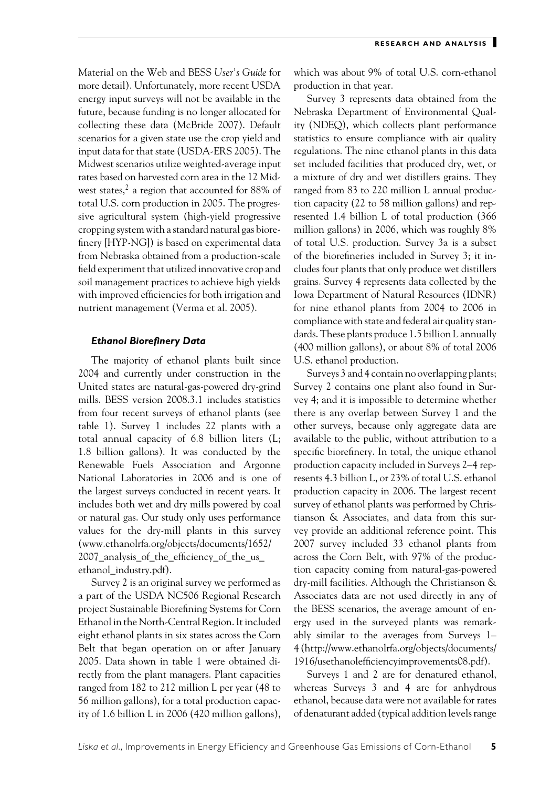Material on the Web and BESS *User's Guide* for more detail). Unfortunately, more recent USDA energy input surveys will not be available in the future, because funding is no longer allocated for collecting these data (McBride 2007). Default scenarios for a given state use the crop yield and input data for that state (USDA-ERS 2005). The Midwest scenarios utilize weighted-average input rates based on harvested corn area in the 12 Midwest states, $^2$  a region that accounted for 88% of total U.S. corn production in 2005. The progressive agricultural system (high-yield progressive cropping system with a standard natural gas biorefinery [HYP-NG]) is based on experimental data from Nebraska obtained from a production-scale field experiment that utilized innovative crop and soil management practices to achieve high yields with improved efficiencies for both irrigation and nutrient management (Verma et al. 2005).

#### *Ethanol Biorefinery Data*

The majority of ethanol plants built since 2004 and currently under construction in the United states are natural-gas-powered dry-grind mills. BESS version 2008.3.1 includes statistics from four recent surveys of ethanol plants (see table 1). Survey 1 includes 22 plants with a total annual capacity of 6.8 billion liters (L; 1.8 billion gallons). It was conducted by the Renewable Fuels Association and Argonne National Laboratories in 2006 and is one of the largest surveys conducted in recent years. It includes both wet and dry mills powered by coal or natural gas. Our study only uses performance values for the dry-mill plants in this survey (www.ethanolrfa.org/objects/documents/1652/ 2007\_analysis\_of\_the\_efficiency\_of\_the\_us\_ ethanol\_industry.pdf).

Survey 2 is an original survey we performed as a part of the USDA NC506 Regional Research project Sustainable Biorefining Systems for Corn Ethanol in the North-Central Region. It included eight ethanol plants in six states across the Corn Belt that began operation on or after January 2005. Data shown in table 1 were obtained directly from the plant managers. Plant capacities ranged from 182 to 212 million L per year (48 to 56 million gallons), for a total production capacity of 1.6 billion L in 2006 (420 million gallons), which was about 9% of total U.S. corn-ethanol production in that year.

Survey 3 represents data obtained from the Nebraska Department of Environmental Quality (NDEQ), which collects plant performance statistics to ensure compliance with air quality regulations. The nine ethanol plants in this data set included facilities that produced dry, wet, or a mixture of dry and wet distillers grains. They ranged from 83 to 220 million L annual production capacity (22 to 58 million gallons) and represented 1.4 billion L of total production (366 million gallons) in 2006, which was roughly 8% of total U.S. production. Survey 3a is a subset of the biorefineries included in Survey 3; it includes four plants that only produce wet distillers grains. Survey 4 represents data collected by the Iowa Department of Natural Resources (IDNR) for nine ethanol plants from 2004 to 2006 in compliance with state and federal air quality standards. These plants produce 1.5 billion L annually (400 million gallons), or about 8% of total 2006 U.S. ethanol production.

Surveys 3 and 4 contain no overlapping plants; Survey 2 contains one plant also found in Survey 4; and it is impossible to determine whether there is any overlap between Survey 1 and the other surveys, because only aggregate data are available to the public, without attribution to a specific biorefinery. In total, the unique ethanol production capacity included in Surveys 2–4 represents 4.3 billion L, or 23% of total U.S. ethanol production capacity in 2006. The largest recent survey of ethanol plants was performed by Christianson & Associates, and data from this survey provide an additional reference point. This 2007 survey included 33 ethanol plants from across the Corn Belt, with 97% of the production capacity coming from natural-gas-powered dry-mill facilities. Although the Christianson & Associates data are not used directly in any of the BESS scenarios, the average amount of energy used in the surveyed plants was remarkably similar to the averages from Surveys 1– 4 (http://www.ethanolrfa.org/objects/documents/ 1916/usethanolefficiencyimprovements08.pdf).

Surveys 1 and 2 are for denatured ethanol, whereas Surveys 3 and 4 are for anhydrous ethanol, because data were not available for rates of denaturant added (typical addition levels range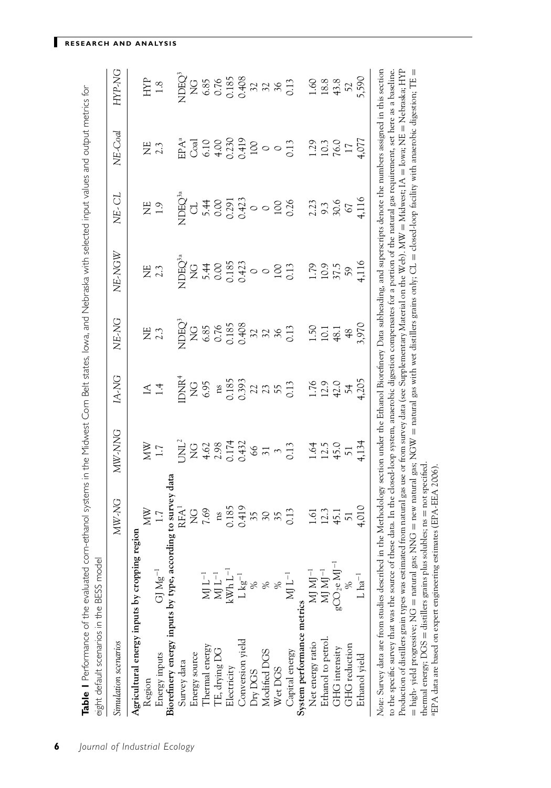| Simulation scenarios                                                                           |                                                                                               | MW-NG                                      | MW-NNG                               | IA-NG                                          | NE-NG                                          | NENGW                                                        | NE-CL                                                            | NE-Cod                                                         | HYP-NG                                     |
|------------------------------------------------------------------------------------------------|-----------------------------------------------------------------------------------------------|--------------------------------------------|--------------------------------------|------------------------------------------------|------------------------------------------------|--------------------------------------------------------------|------------------------------------------------------------------|----------------------------------------------------------------|--------------------------------------------|
| Agricultural energy inputs by cropping region                                                  |                                                                                               |                                            |                                      |                                                |                                                |                                                              |                                                                  |                                                                |                                            |
| Region                                                                                         |                                                                                               | $\mathop{\rm MW}$                          | MW                                   |                                                |                                                |                                                              |                                                                  |                                                                | HYP                                        |
|                                                                                                | $\mathrm{GJ\,Mg^{-1}}$                                                                        |                                            | $1.7\,$                              | $\leq \frac{4}{1}$                             | $E_{23}$                                       | $Z_{23}$                                                     | $E_{1.9}$                                                        | Z <sub>3</sub>                                                 | 1.8                                        |
| Energy inputs $G \log^{-1}$ 1.7<br>Biorefinery energy inputs by type, according to survey data |                                                                                               |                                            |                                      |                                                |                                                |                                                              |                                                                  |                                                                |                                            |
| Survey data                                                                                    |                                                                                               | RFA <sup>1</sup>                           | $\sum_{i=1}^{n}$                     | DNR <sup>4</sup>                               | NDEQ <sup>3</sup>                              | $NDEQ^{3a}$                                                  | NDEQ <sup>3</sup>                                                |                                                                | NDEQ'                                      |
|                                                                                                |                                                                                               |                                            |                                      |                                                |                                                |                                                              |                                                                  |                                                                | $\rm \frac{C}{Z}$                          |
| Energy source<br>Thermal energy                                                                |                                                                                               | <b>DES</b><br>2.69                         | DG387432653013                       | NG<br>6.95                                     | <b>DESERED SERVIS</b><br><b>DESERED SERVIS</b> | $\begin{array}{c}\n0400 \\ 0400 \\ 0400 \\ 040\n\end{array}$ |                                                                  | EPAª<br>Cal 0<br>6.10<br>4.00<br>0.419                         | 6.85                                       |
| TE, drying DG                                                                                  |                                                                                               |                                            |                                      |                                                |                                                |                                                              |                                                                  |                                                                |                                            |
| Electricity                                                                                    |                                                                                               |                                            |                                      |                                                |                                                |                                                              |                                                                  |                                                                |                                            |
| Conversion yield                                                                               | $\begin{array}{c} MJ \; L^{-1} \\ MJ \; L^{-1} \\ kW h \; L^{-1} \\ L \; kg^{-1} \end{array}$ | ns<br>0.185<br>0.419<br>3.5<br>3.5<br>0.13 |                                      | ns<br>0.185<br>0.393<br>22<br>55<br>55<br>0.13 |                                                |                                                              |                                                                  |                                                                | 0.76<br>0.185<br>0.408<br>32<br>36<br>0.13 |
| Dry DGS                                                                                        |                                                                                               |                                            |                                      |                                                |                                                |                                                              |                                                                  |                                                                |                                            |
| Modified DGS                                                                                   | $\%$                                                                                          |                                            |                                      |                                                |                                                |                                                              |                                                                  | $\frac{8}{10}$ o $\frac{13}{10}$                               |                                            |
| Wet DGS                                                                                        |                                                                                               |                                            |                                      |                                                |                                                |                                                              |                                                                  |                                                                |                                            |
| Capital energy                                                                                 | $\rm MJ$ $\rm L^{-1}$                                                                         |                                            |                                      |                                                |                                                |                                                              | $\begin{array}{c}\n0.73 \\ 0.730 \\ 0.731 \\ 0.733\n\end{array}$ |                                                                |                                            |
| System performance metrics                                                                     |                                                                                               |                                            |                                      |                                                |                                                |                                                              |                                                                  |                                                                |                                            |
| Net energy ratio                                                                               | $\rm MJ$ $\rm MJ^{-1}$ $\rm MJ^{-1}$                                                          |                                            | $1.64$<br>12.5<br>45.0<br>51<br>5134 |                                                |                                                |                                                              |                                                                  |                                                                |                                            |
| Ethanol to petrol.                                                                             |                                                                                               |                                            |                                      |                                                |                                                | $\frac{1.79}{10.9}$                                          |                                                                  |                                                                |                                            |
| GHG intensity                                                                                  | $gCO_2e$ MJ <sup>-1</sup>                                                                     | 1.61<br>12.3<br>45.1<br>51<br>4,010        |                                      | $1.76$<br>$12.9$<br>$42.0$<br>$54$             | $1.50$<br>$10.1$<br>$48.1$                     |                                                              | 2.23<br>9.3<br>67<br>67<br>4,116                                 | $\frac{1.29}{10.3}$<br>76.0<br>17<br>17<br>19<br>19<br>17<br>1 | $1.60$<br>$18.3$<br>$43.3$                 |
| GHG reduction                                                                                  |                                                                                               |                                            |                                      |                                                | $\frac{8}{3}$                                  | 59                                                           |                                                                  |                                                                |                                            |
| Ethanol yield                                                                                  | $L ha^{-1}$                                                                                   |                                            |                                      | 4,205                                          | 5,970                                          | 4,116                                                        |                                                                  |                                                                | 5,590                                      |

thermal energy; DGS

distillers grains plus solubles; ns

aEPA data are based on expert engineering estimates (EPA-EEA 2006).

= not specified.

## **RESEARCH AND ANALYSIS**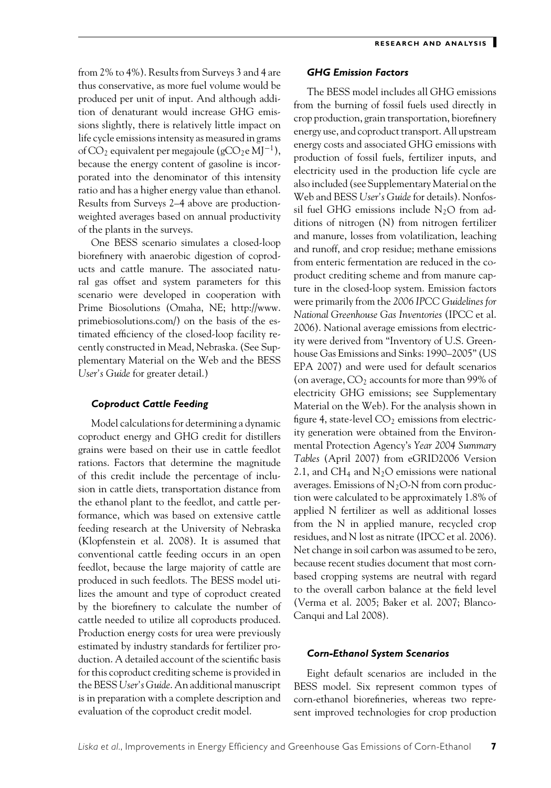from 2% to 4%). Results from Surveys 3 and 4 are thus conservative, as more fuel volume would be produced per unit of input. And although addition of denaturant would increase GHG emissions slightly, there is relatively little impact on life cycle emissions intensity as measured in grams of CO<sub>2</sub> equivalent per megajoule (gCO<sub>2</sub>e MJ<sup>-1</sup>), because the energy content of gasoline is incorporated into the denominator of this intensity ratio and has a higher energy value than ethanol. Results from Surveys 2–4 above are productionweighted averages based on annual productivity of the plants in the surveys.

One BESS scenario simulates a closed-loop biorefinery with anaerobic digestion of coproducts and cattle manure. The associated natural gas offset and system parameters for this scenario were developed in cooperation with Prime Biosolutions (Omaha, NE; http://www. primebiosolutions.com/) on the basis of the estimated efficiency of the closed-loop facility recently constructed in Mead, Nebraska. (See Supplementary Material on the Web and the BESS *User's Guide* for greater detail.)

#### *Coproduct Cattle Feeding*

Model calculations for determining a dynamic coproduct energy and GHG credit for distillers grains were based on their use in cattle feedlot rations. Factors that determine the magnitude of this credit include the percentage of inclusion in cattle diets, transportation distance from the ethanol plant to the feedlot, and cattle performance, which was based on extensive cattle feeding research at the University of Nebraska (Klopfenstein et al. 2008). It is assumed that conventional cattle feeding occurs in an open feedlot, because the large majority of cattle are produced in such feedlots. The BESS model utilizes the amount and type of coproduct created by the biorefinery to calculate the number of cattle needed to utilize all coproducts produced. Production energy costs for urea were previously estimated by industry standards for fertilizer production. A detailed account of the scientific basis for this coproduct crediting scheme is provided in the BESS *User's Guide*. An additional manuscript is in preparation with a complete description and evaluation of the coproduct credit model.

### *GHG Emission Factors*

The BESS model includes all GHG emissions from the burning of fossil fuels used directly in crop production, grain transportation, biorefinery energy use, and coproduct transport. All upstream energy costs and associated GHG emissions with production of fossil fuels, fertilizer inputs, and electricity used in the production life cycle are also included (see Supplementary Material on the Web and BESS *User's Guide* for details). Nonfossil fuel GHG emissions include  $N_2O$  from additions of nitrogen (N) from nitrogen fertilizer and manure, losses from volatilization, leaching and runoff, and crop residue; methane emissions from enteric fermentation are reduced in the coproduct crediting scheme and from manure capture in the closed-loop system. Emission factors were primarily from the *2006 IPCC Guidelines for National Greenhouse Gas Inventories* (IPCC et al. 2006). National average emissions from electricity were derived from "Inventory of U.S. Greenhouse Gas Emissions and Sinks: 1990–2005" (US EPA 2007) and were used for default scenarios (on average,  $CO<sub>2</sub>$  accounts for more than 99% of electricity GHG emissions; see Supplementary Material on the Web). For the analysis shown in figure 4, state-level  $CO<sub>2</sub>$  emissions from electricity generation were obtained from the Environmental Protection Agency's *Year 2004 Summary Tables* (April 2007) from eGRID2006 Version 2.1, and CH<sub>4</sub> and  $N_2O$  emissions were national averages. Emissions of  $N_2O-N$  from corn production were calculated to be approximately 1.8% of applied N fertilizer as well as additional losses from the N in applied manure, recycled crop residues, and N lost as nitrate (IPCC et al. 2006). Net change in soil carbon was assumed to be zero, because recent studies document that most cornbased cropping systems are neutral with regard to the overall carbon balance at the field level (Verma et al. 2005; Baker et al. 2007; Blanco-Canqui and Lal 2008).

#### *Corn-Ethanol System Scenarios*

Eight default scenarios are included in the BESS model. Six represent common types of corn-ethanol biorefineries, whereas two represent improved technologies for crop production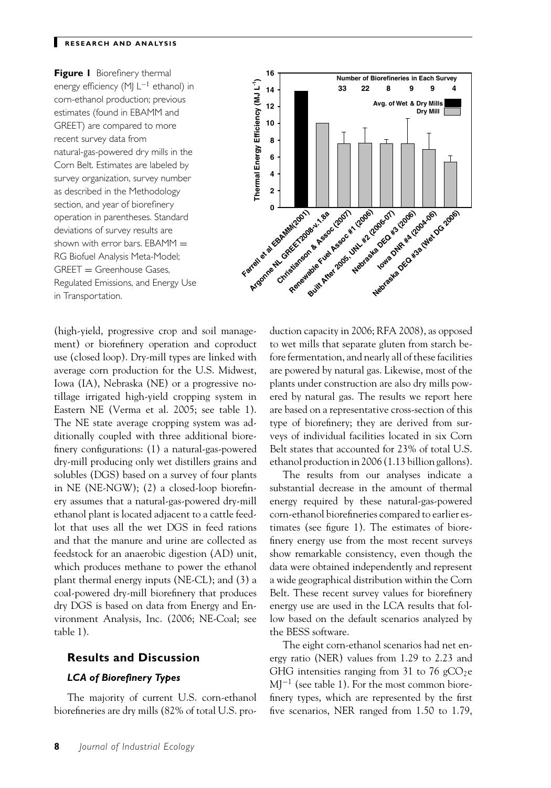**Figure I** Biorefinery thermal energy efficiency (MJ L<sup>-1</sup> ethanol) in corn-ethanol production; previous estimates (found in EBAMM and GREET) are compared to more recent survey data from natural-gas-powered dry mills in the Corn Belt. Estimates are labeled by survey organization, survey number as described in the Methodology section, and year of biorefinery operation in parentheses. Standard deviations of survey results are shown with error bars.  $EBAMM =$ RG Biofuel Analysis Meta-Model; GREET = Greenhouse Gases, Regulated Emissions, and Energy Use in Transportation.



(high-yield, progressive crop and soil management) or biorefinery operation and coproduct use (closed loop). Dry-mill types are linked with average corn production for the U.S. Midwest, Iowa (IA), Nebraska (NE) or a progressive notillage irrigated high-yield cropping system in Eastern NE (Verma et al. 2005; see table 1). The NE state average cropping system was additionally coupled with three additional biorefinery configurations: (1) a natural-gas-powered dry-mill producing only wet distillers grains and solubles (DGS) based on a survey of four plants in NE (NE-NGW); (2) a closed-loop biorefinery assumes that a natural-gas-powered dry-mill ethanol plant is located adjacent to a cattle feedlot that uses all the wet DGS in feed rations and that the manure and urine are collected as feedstock for an anaerobic digestion (AD) unit, which produces methane to power the ethanol plant thermal energy inputs (NE-CL); and (3) a coal-powered dry-mill biorefinery that produces dry DGS is based on data from Energy and Environment Analysis, Inc. (2006; NE-Coal; see table 1).

#### **Results and Discussion**

## *LCA of Biorefinery Types*

The majority of current U.S. corn-ethanol biorefineries are dry mills (82% of total U.S. production capacity in 2006; RFA 2008), as opposed to wet mills that separate gluten from starch before fermentation, and nearly all of these facilities are powered by natural gas. Likewise, most of the plants under construction are also dry mills powered by natural gas. The results we report here are based on a representative cross-section of this type of biorefinery; they are derived from surveys of individual facilities located in six Corn Belt states that accounted for 23% of total U.S. ethanol production in 2006 (1.13 billion gallons).

The results from our analyses indicate a substantial decrease in the amount of thermal energy required by these natural-gas-powered corn-ethanol biorefineries compared to earlier estimates (see figure 1). The estimates of biorefinery energy use from the most recent surveys show remarkable consistency, even though the data were obtained independently and represent a wide geographical distribution within the Corn Belt. These recent survey values for biorefinery energy use are used in the LCA results that follow based on the default scenarios analyzed by the BESS software.

The eight corn-ethanol scenarios had net energy ratio (NER) values from 1.29 to 2.23 and GHG intensities ranging from 31 to 76  $gCO<sub>2</sub>e$ MJ−<sup>1</sup> (see table 1). For the most common biorefinery types, which are represented by the first five scenarios, NER ranged from 1.50 to 1.79,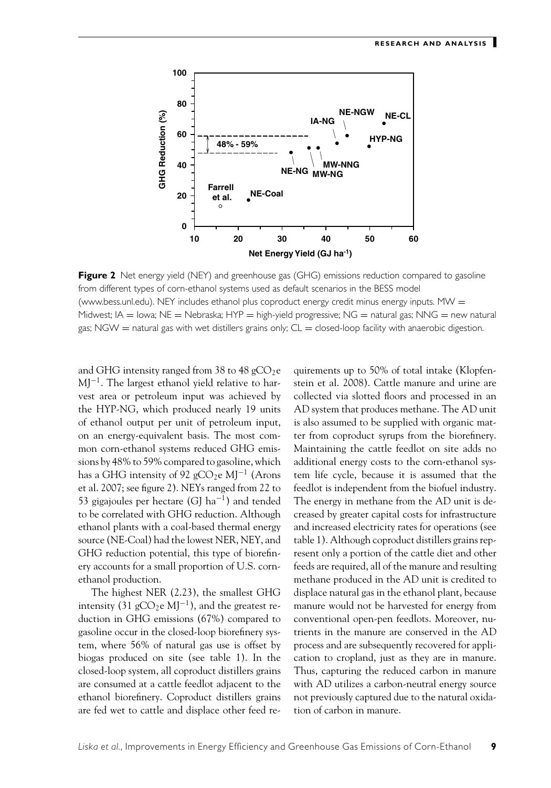

**Figure 2** Net energy yield (NEY) and greenhouse gas (GHG) emissions reduction compared to gasoline from different types of corn-ethanol systems used as default scenarios in the BESS model (www.bess.unl.edu). NEY includes ethanol plus coproduct energy credit minus energy inputs.  $MW =$ Midwest;  $IA = I$ owa;  $NE = Nebraska$ ;  $HYP = high-yield progressive$ ;  $NG =$ natural gas;  $NNG =$ new natural gas;  $\text{NGW}$  = natural gas with wet distillers grains only;  $\text{CL}$  = closed-loop facility with anaerobic digestion.

and GHG intensity ranged from 38 to 48 gCO<sub>2</sub>e  $MJ^{-1}$ . The largest ethanol yield relative to harvest area or petroleum input was achieved by the HYP-NG, which produced nearly 19 units of ethanol output per unit of petroleum input, on an energy-equivalent basis. The most common corn-ethanol systems reduced GHG emissions by 48% to 59% compared to gasoline, which has a GHG intensity of 92 gCO<sub>2</sub>e MJ<sup>-1</sup> (Arons et al. 2007; see figure 2). NEYs ranged from 22 to 53 gigajoules per hectare (GJ ha<sup>-1</sup>) and tended to be correlated with GHG reduction. Although ethanol plants with a coal-based thermal energy source (NE-Coal) had the lowest NER, NEY, and GHG reduction potential, this type of biorefinery accounts for a small proportion of U.S. cornethanol production.

The highest NER (2.23), the smallest GHG intensity (31 gCO<sub>2</sub>e MJ<sup>-1</sup>), and the greatest reduction in GHG emissions (67%) compared to gasoline occur in the closed-loop biorefinery system, where 56% of natural gas use is offset by biogas produced on site (see table 1). In the closed-loop system, all coproduct distillers grains are consumed at a cattle feedlot adjacent to the ethanol biorefinery. Coproduct distillers grains are fed wet to cattle and displace other feed requirements up to 50% of total intake (Klopfenstein et al. 2008). Cattle manure and urine are collected via slotted floors and processed in an AD system that produces methane. The AD unit is also assumed to be supplied with organic matter from coproduct syrups from the biorefinery. Maintaining the cattle feedlot on site adds no additional energy costs to the corn-ethanol system life cycle, because it is assumed that the feedlot is independent from the biofuel industry. The energy in methane from the AD unit is decreased by greater capital costs for infrastructure and increased electricity rates for operations (see table 1). Although coproduct distillers grains represent only a portion of the cattle diet and other feeds are required, all of the manure and resulting methane produced in the AD unit is credited to displace natural gas in the ethanol plant, because manure would not be harvested for energy from conventional open-pen feedlots. Moreover, nutrients in the manure are conserved in the AD process and are subsequently recovered for application to cropland, just as they are in manure. Thus, capturing the reduced carbon in manure with AD utilizes a carbon-neutral energy source not previously captured due to the natural oxidation of carbon in manure.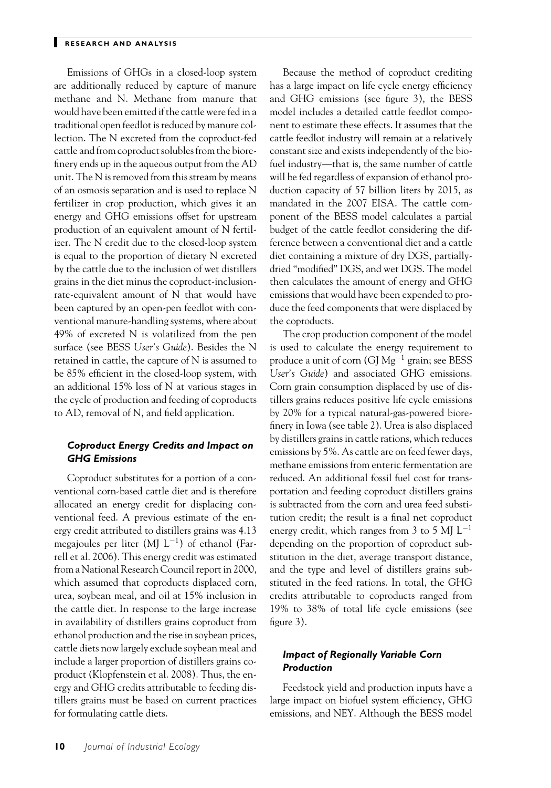Emissions of GHGs in a closed-loop system are additionally reduced by capture of manure methane and N. Methane from manure that would have been emitted if the cattle were fed in a traditional open feedlot is reduced by manure collection. The N excreted from the coproduct-fed cattle and from coproduct solubles from the biorefinery ends up in the aqueous output from the AD unit. The N is removed from this stream by means of an osmosis separation and is used to replace N fertilizer in crop production, which gives it an energy and GHG emissions offset for upstream production of an equivalent amount of N fertilizer. The N credit due to the closed-loop system is equal to the proportion of dietary N excreted by the cattle due to the inclusion of wet distillers grains in the diet minus the coproduct-inclusionrate-equivalent amount of N that would have been captured by an open-pen feedlot with conventional manure-handling systems, where about 49% of excreted N is volatilized from the pen surface (see BESS *User's Guide*). Besides the N retained in cattle, the capture of N is assumed to be 85% efficient in the closed-loop system, with an additional 15% loss of N at various stages in the cycle of production and feeding of coproducts to AD, removal of N, and field application.

## *Coproduct Energy Credits and Impact on GHG Emissions*

Coproduct substitutes for a portion of a conventional corn-based cattle diet and is therefore allocated an energy credit for displacing conventional feed. A previous estimate of the energy credit attributed to distillers grains was 4.13 megajoules per liter (MJ  $L^{-1}$ ) of ethanol (Farrell et al. 2006). This energy credit was estimated from a National Research Council report in 2000, which assumed that coproducts displaced corn, urea, soybean meal, and oil at 15% inclusion in the cattle diet. In response to the large increase in availability of distillers grains coproduct from ethanol production and the rise in soybean prices, cattle diets now largely exclude soybean meal and include a larger proportion of distillers grains coproduct (Klopfenstein et al. 2008). Thus, the energy and GHG credits attributable to feeding distillers grains must be based on current practices for formulating cattle diets.

Because the method of coproduct crediting has a large impact on life cycle energy efficiency and GHG emissions (see figure 3), the BESS model includes a detailed cattle feedlot component to estimate these effects. It assumes that the cattle feedlot industry will remain at a relatively constant size and exists independently of the biofuel industry—that is, the same number of cattle will be fed regardless of expansion of ethanol production capacity of 57 billion liters by 2015, as mandated in the 2007 EISA. The cattle component of the BESS model calculates a partial budget of the cattle feedlot considering the difference between a conventional diet and a cattle diet containing a mixture of dry DGS, partiallydried "modified" DGS, and wet DGS. The model then calculates the amount of energy and GHG emissions that would have been expended to produce the feed components that were displaced by the coproducts.

The crop production component of the model is used to calculate the energy requirement to produce a unit of corn (GJ  $Mg^{-1}$  grain; see BESS *User's Guide*) and associated GHG emissions. Corn grain consumption displaced by use of distillers grains reduces positive life cycle emissions by 20% for a typical natural-gas-powered biorefinery in Iowa (see table 2). Urea is also displaced by distillers grains in cattle rations, which reduces emissions by 5%. As cattle are on feed fewer days, methane emissions from enteric fermentation are reduced. An additional fossil fuel cost for transportation and feeding coproduct distillers grains is subtracted from the corn and urea feed substitution credit; the result is a final net coproduct energy credit, which ranges from 3 to 5 MJ  $L^{-1}$ depending on the proportion of coproduct substitution in the diet, average transport distance, and the type and level of distillers grains substituted in the feed rations. In total, the GHG credits attributable to coproducts ranged from 19% to 38% of total life cycle emissions (see figure 3).

## *Impact of Regionally Variable Corn Production*

Feedstock yield and production inputs have a large impact on biofuel system efficiency, GHG emissions, and NEY. Although the BESS model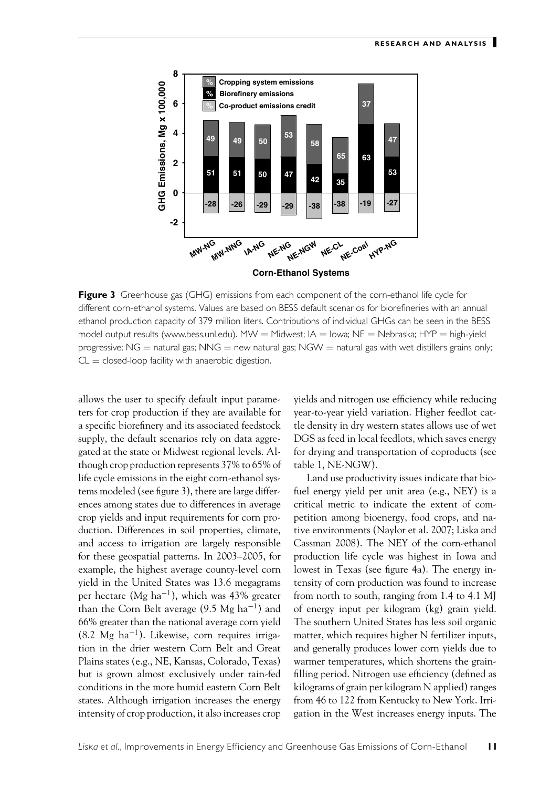

Figure 3 Greenhouse gas (GHG) emissions from each component of the corn-ethanol life cycle for different corn-ethanol systems. Values are based on BESS default scenarios for biorefineries with an annual ethanol production capacity of 379 million liters. Contributions of individual GHGs can be seen in the BESS model output results (www.bess.unl.edu). MW = Midwest;  $IA = Iowa$ ;  $NE = Nebraska$ ;  $HYP = high$ -yield progressive;  $NG =$  natural gas;  $NNG =$  new natural gas;  $NGW =$  natural gas with wet distillers grains only;  $CL = closed-loop$  facility with anaerobic digestion.

allows the user to specify default input parameters for crop production if they are available for a specific biorefinery and its associated feedstock supply, the default scenarios rely on data aggregated at the state or Midwest regional levels. Although crop production represents 37% to 65% of life cycle emissions in the eight corn-ethanol systems modeled (see figure 3), there are large differences among states due to differences in average crop yields and input requirements for corn production. Differences in soil properties, climate, and access to irrigation are largely responsible for these geospatial patterns. In 2003–2005, for example, the highest average county-level corn yield in the United States was 13.6 megagrams per hectare (Mg ha−1), which was 43% greater than the Corn Belt average (9.5 Mg ha<sup>-1</sup>) and 66% greater than the national average corn yield (8.2 Mg ha−1). Likewise, corn requires irrigation in the drier western Corn Belt and Great Plains states (e.g., NE, Kansas, Colorado, Texas) but is grown almost exclusively under rain-fed conditions in the more humid eastern Corn Belt states. Although irrigation increases the energy intensity of crop production, it also increases crop

yields and nitrogen use efficiency while reducing year-to-year yield variation. Higher feedlot cattle density in dry western states allows use of wet DGS as feed in local feedlots, which saves energy for drying and transportation of coproducts (see table 1, NE-NGW).

Land use productivity issues indicate that biofuel energy yield per unit area (e.g., NEY) is a critical metric to indicate the extent of competition among bioenergy, food crops, and native environments (Naylor et al. 2007; Liska and Cassman 2008). The NEY of the corn-ethanol production life cycle was highest in Iowa and lowest in Texas (see figure 4a). The energy intensity of corn production was found to increase from north to south, ranging from 1.4 to 4.1 MJ of energy input per kilogram (kg) grain yield. The southern United States has less soil organic matter, which requires higher N fertilizer inputs, and generally produces lower corn yields due to warmer temperatures, which shortens the grainfilling period. Nitrogen use efficiency (defined as kilograms of grain per kilogram N applied) ranges from 46 to 122 from Kentucky to New York. Irrigation in the West increases energy inputs. The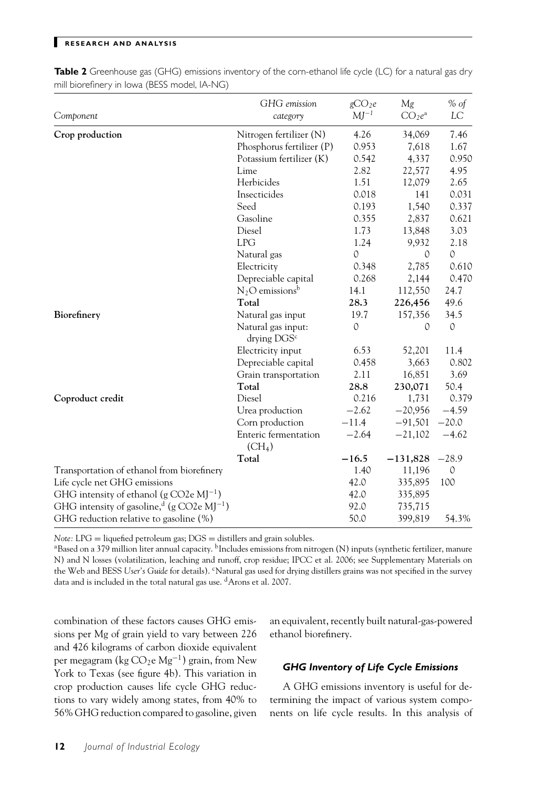| Component                                                          | GHG emission<br>category                      | $gCO_2e$<br>$MI^{-1}$ | Mg<br>CO <sub>2</sub> e <sup>a</sup> | % of<br>LC    |
|--------------------------------------------------------------------|-----------------------------------------------|-----------------------|--------------------------------------|---------------|
| Crop production                                                    | Nitrogen fertilizer (N)                       | 4.26                  | 34,069                               | 7.46          |
|                                                                    | Phosphorus fertilizer (P)                     | 0.953                 | 7,618                                | 1.67          |
|                                                                    | Potassium fertilizer (K)                      | 0.542                 | 4,337                                | 0.950         |
|                                                                    | Lime                                          | 2.82                  | 22,577                               | 4.95          |
|                                                                    | Herbicides                                    | 1.51                  | 12,079                               | 2.65          |
|                                                                    | Insecticides                                  | 0.018                 | 141                                  | 0.031         |
|                                                                    | Seed                                          | 0.193                 | 1,540                                | 0.337         |
|                                                                    | Gasoline                                      | 0.355                 | 2,837                                | 0.621         |
|                                                                    | Diesel                                        | 1.73                  | 13,848                               | 3.03          |
|                                                                    | <b>LPG</b>                                    | 1.24                  | 9,932                                | 2.18          |
|                                                                    | Natural gas                                   | $\mathcal{O}$         | 0                                    | $\mathcal{O}$ |
|                                                                    | Electricity                                   | 0.348                 | 2,785                                | 0.610         |
|                                                                    | Depreciable capital                           | 0.268                 | 2,144                                | 0.470         |
|                                                                    | $N_2O$ emissions <sup>b</sup>                 | 14.1                  | 112,550                              | 24.7          |
|                                                                    | Total                                         | 28.3                  | 226,456                              | 49.6          |
| Biorefinery                                                        | Natural gas input                             | 19.7                  | 157,356                              | 34.5          |
|                                                                    | Natural gas input:<br>drying DGS <sup>c</sup> | $\mathcal{O}$         | $\Omega$                             | $\Omega$      |
|                                                                    | Electricity input                             | 6.53                  | 52,201                               | 11.4          |
|                                                                    | Depreciable capital                           | 0.458                 | 3,663                                | 0.802         |
|                                                                    | Grain transportation                          | 2.11                  | 16,851                               | 3.69          |
|                                                                    | Total                                         | 28.8                  | 230,071                              | 50.4          |
| Coproduct credit                                                   | Diesel                                        | 0.216                 | 1,731                                | 0.379         |
|                                                                    | Urea production                               | $-2.62$               | $-20,956$                            | $-4.59$       |
|                                                                    | Corn production                               | $-11.4$               | $-91,501$                            | $-20.0$       |
|                                                                    | Enteric fermentation                          | $-2.64$               | $-21,102$                            | $-4.62$       |
|                                                                    | (CH <sub>4</sub> )                            |                       |                                      |               |
|                                                                    | Total                                         | $-16.5$               | $-131,828$                           | $-28.9$       |
| Transportation of ethanol from biorefinery                         |                                               | 1.40                  | 11,196                               | $\mathcal{O}$ |
| Life cycle net GHG emissions                                       |                                               | 42.0                  | 335,895                              | 100           |
| GHG intensity of ethanol (g CO2e $MI^{-1}$ )                       |                                               | 42.0                  | 335,895                              |               |
| GHG intensity of gasoline, <sup>d</sup> (g CO2e MJ <sup>-1</sup> ) |                                               | 92.0                  | 735,715                              |               |
| GHG reduction relative to gasoline (%)                             |                                               | 50.0                  | 399,819                              | 54.3%         |

**Table 2** Greenhouse gas (GHG) emissions inventory of the corn-ethanol life cycle (LC) for a natural gas dry mill biorefinery in Iowa (BESS model, IA-NG)

*Note:* LPG = liquefied petroleum gas; DGS = distillers and grain solubles.<br><sup>a</sup>Based on a 379 million liter annual capacity. <sup>b</sup>Includes emissions from nitrogen (N) inputs (synthetic fertilizer, manure N) and N losses (volatilization, leaching and runoff, crop residue; IPCC et al. 2006; see Supplementary Materials on the Web and BESS *User's Guide* for details). cNatural gas used for drying distillers grains was not specified in the survey data and is included in the total natural gas use. <sup>d</sup>Arons et al. 2007.

combination of these factors causes GHG emissions per Mg of grain yield to vary between 226 and 426 kilograms of carbon dioxide equivalent per megagram (kg CO<sub>2</sub>e Mg<sup>-1</sup>) grain, from New York to Texas (see figure 4b). This variation in crop production causes life cycle GHG reductions to vary widely among states, from 40% to 56% GHG reduction compared to gasoline, given an equivalent, recently built natural-gas-powered ethanol biorefinery.

## *GHG Inventory of Life Cycle Emissions*

A GHG emissions inventory is useful for determining the impact of various system components on life cycle results. In this analysis of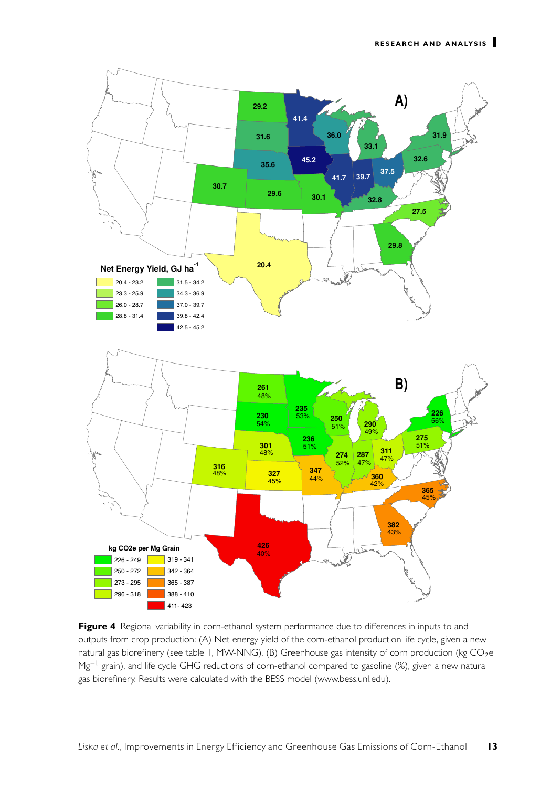

**Figure 4** Regional variability in corn-ethanol system performance due to differences in inputs to and outputs from crop production: (A) Net energy yield of the corn-ethanol production life cycle, given a new natural gas biorefinery (see table 1, MW-NNG). (B) Greenhouse gas intensity of corn production (kg  $CO_2e$ Mg<sup>-1</sup> grain), and life cycle GHG reductions of corn-ethanol compared to gasoline (%), given a new natural gas biorefinery. Results were calculated with the BESS model (www.bess.unl.edu).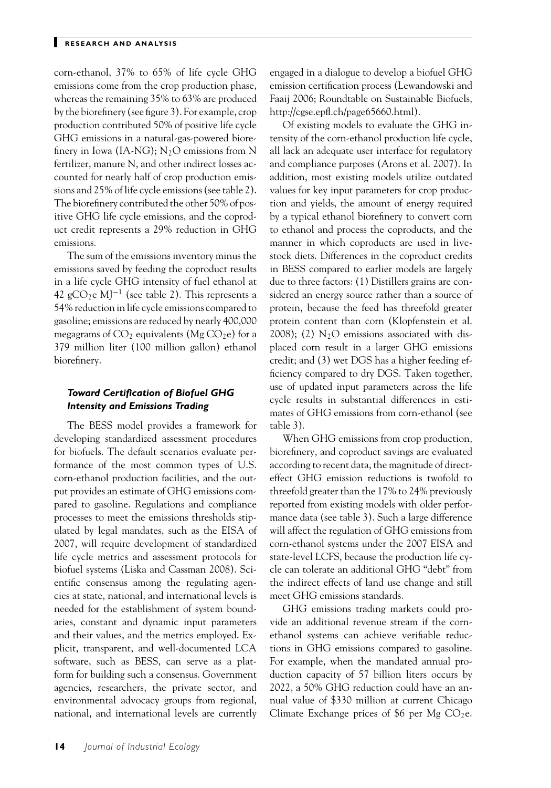corn-ethanol, 37% to 65% of life cycle GHG emissions come from the crop production phase, whereas the remaining 35% to 63% are produced by the biorefinery (see figure 3). For example, crop production contributed 50% of positive life cycle GHG emissions in a natural-gas-powered biorefinery in Iowa (IA-NG);  $N<sub>2</sub>O$  emissions from N fertilizer, manure N, and other indirect losses accounted for nearly half of crop production emissions and 25% of life cycle emissions (see table 2). The biorefinery contributed the other 50% of positive GHG life cycle emissions, and the coproduct credit represents a 29% reduction in GHG emissions.

The sum of the emissions inventory minus the emissions saved by feeding the coproduct results in a life cycle GHG intensity of fuel ethanol at 42 gCO<sub>2</sub>e MJ<sup>-1</sup> (see table 2). This represents a 54% reduction in life cycle emissions compared to gasoline; emissions are reduced by nearly 400,000 megagrams of  $CO_2$  equivalents (Mg  $CO_2e$ ) for a 379 million liter (100 million gallon) ethanol biorefinery.

## *Toward Certification of Biofuel GHG Intensity and Emissions Trading*

The BESS model provides a framework for developing standardized assessment procedures for biofuels. The default scenarios evaluate performance of the most common types of U.S. corn-ethanol production facilities, and the output provides an estimate of GHG emissions compared to gasoline. Regulations and compliance processes to meet the emissions thresholds stipulated by legal mandates, such as the EISA of 2007, will require development of standardized life cycle metrics and assessment protocols for biofuel systems (Liska and Cassman 2008). Scientific consensus among the regulating agencies at state, national, and international levels is needed for the establishment of system boundaries, constant and dynamic input parameters and their values, and the metrics employed. Explicit, transparent, and well-documented LCA software, such as BESS, can serve as a platform for building such a consensus. Government agencies, researchers, the private sector, and environmental advocacy groups from regional, national, and international levels are currently engaged in a dialogue to develop a biofuel GHG emission certification process (Lewandowski and Faaij 2006; Roundtable on Sustainable Biofuels, http://cgse.epfl.ch/page65660.html).

Of existing models to evaluate the GHG intensity of the corn-ethanol production life cycle, all lack an adequate user interface for regulatory and compliance purposes (Arons et al. 2007). In addition, most existing models utilize outdated values for key input parameters for crop production and yields, the amount of energy required by a typical ethanol biorefinery to convert corn to ethanol and process the coproducts, and the manner in which coproducts are used in livestock diets. Differences in the coproduct credits in BESS compared to earlier models are largely due to three factors: (1) Distillers grains are considered an energy source rather than a source of protein, because the feed has threefold greater protein content than corn (Klopfenstein et al. 2008); (2)  $N_2O$  emissions associated with displaced corn result in a larger GHG emissions credit; and (3) wet DGS has a higher feeding efficiency compared to dry DGS. Taken together, use of updated input parameters across the life cycle results in substantial differences in estimates of GHG emissions from corn-ethanol (see table 3).

When GHG emissions from crop production, biorefinery, and coproduct savings are evaluated according to recent data, the magnitude of directeffect GHG emission reductions is twofold to threefold greater than the 17% to 24% previously reported from existing models with older performance data (see table 3). Such a large difference will affect the regulation of GHG emissions from corn-ethanol systems under the 2007 EISA and state-level LCFS, because the production life cycle can tolerate an additional GHG "debt" from the indirect effects of land use change and still meet GHG emissions standards.

GHG emissions trading markets could provide an additional revenue stream if the cornethanol systems can achieve verifiable reductions in GHG emissions compared to gasoline. For example, when the mandated annual production capacity of 57 billion liters occurs by 2022, a 50% GHG reduction could have an annual value of \$330 million at current Chicago Climate Exchange prices of \$6 per Mg  $CO<sub>2</sub>e$ .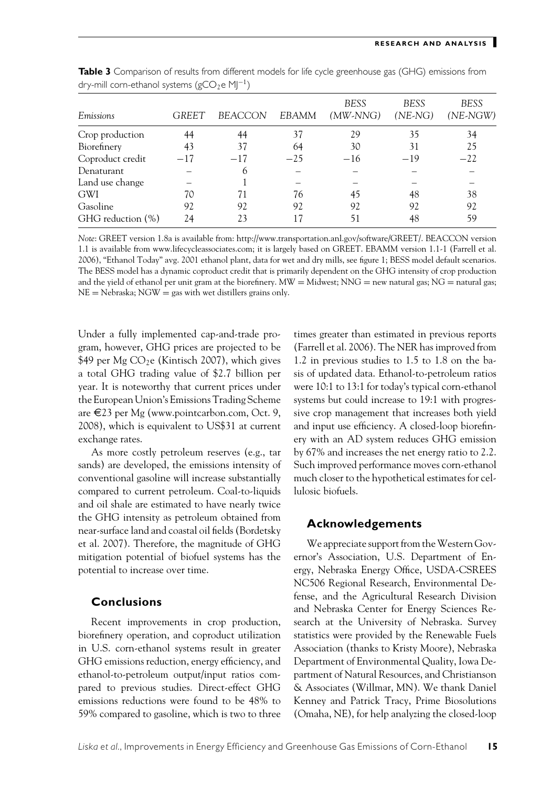| Emissions         | GREET | <b>BEACCON</b> | EBAMM | <b>BESS</b><br>$(MW\text{-}NNG)$ | <b>BESS</b><br>$(NE-NG)$ | <b>BESS</b><br>$(NE-NGW)$ |
|-------------------|-------|----------------|-------|----------------------------------|--------------------------|---------------------------|
| Crop production   | 44    | 44             | 37    | 29                               | 35                       | 34                        |
| Biorefinery       | 43    | 37             | 64    | 30                               | 31                       | 25                        |
| Coproduct credit  | $-17$ | $-17$          | $-25$ | $-16$                            | $-19$                    | $-22$                     |
| Denaturant        |       | 6              |       |                                  |                          |                           |
| Land use change   |       |                |       |                                  |                          |                           |
| GWI               | 70    | 71             | 76    | 45                               | 48                       | 38                        |
| Gasoline          | 92    | 92             | 92    | 92                               | 92                       | 92                        |
| GHG reduction (%) | 24    | 23             | 17    | 51                               | 48                       | 59                        |

**Table 3** Comparison of results from different models for life cycle greenhouse gas (GHG) emissions from dry-mill corn-ethanol systems (gCO<sub>2</sub>e M|<sup>-1</sup>)

*Note*: GREET version 1.8a is available from: http://www.transportation.anl.gov/software/GREET/. BEACCON version 1.1 is available from www.lifecycleassociates.com; it is largely based on GREET. EBAMM version 1.1-1 (Farrell et al. 2006), "Ethanol Today" avg. 2001 ethanol plant, data for wet and dry mills, see figure 1; BESS model default scenarios. The BESS model has a dynamic coproduct credit that is primarily dependent on the GHG intensity of crop production and the yield of ethanol per unit gram at the biorefinery.  $MW = Midwest$ ;  $NNG = new$  natural gas;  $NG =$  natural gas;  $NE = Nebraska$ ;  $NGW = gas$  with wet distillers grains only.

Under a fully implemented cap-and-trade program, however, GHG prices are projected to be \$49 per Mg CO2e (Kintisch 2007), which gives a total GHG trading value of \$2.7 billion per year. It is noteworthy that current prices under the European Union's Emissions Trading Scheme are €23 per Mg (www.pointcarbon.com, Oct. 9, 2008), which is equivalent to US\$31 at current exchange rates.

As more costly petroleum reserves (e.g., tar sands) are developed, the emissions intensity of conventional gasoline will increase substantially compared to current petroleum. Coal-to-liquids and oil shale are estimated to have nearly twice the GHG intensity as petroleum obtained from near-surface land and coastal oil fields (Bordetsky et al. 2007). Therefore, the magnitude of GHG mitigation potential of biofuel systems has the potential to increase over time.

## **Conclusions**

Recent improvements in crop production, biorefinery operation, and coproduct utilization in U.S. corn-ethanol systems result in greater GHG emissions reduction, energy efficiency, and ethanol-to-petroleum output/input ratios compared to previous studies. Direct-effect GHG emissions reductions were found to be 48% to 59% compared to gasoline, which is two to three times greater than estimated in previous reports (Farrell et al. 2006). The NER has improved from 1.2 in previous studies to 1.5 to 1.8 on the basis of updated data. Ethanol-to-petroleum ratios were 10:1 to 13:1 for today's typical corn-ethanol systems but could increase to 19:1 with progressive crop management that increases both yield and input use efficiency. A closed-loop biorefinery with an AD system reduces GHG emission by 67% and increases the net energy ratio to 2.2. Such improved performance moves corn-ethanol much closer to the hypothetical estimates for cellulosic biofuels.

## **Acknowledgements**

We appreciate support from the Western Governor's Association, U.S. Department of Energy, Nebraska Energy Office, USDA-CSREES NC506 Regional Research, Environmental Defense, and the Agricultural Research Division and Nebraska Center for Energy Sciences Research at the University of Nebraska. Survey statistics were provided by the Renewable Fuels Association (thanks to Kristy Moore), Nebraska Department of Environmental Quality, Iowa Department of Natural Resources, and Christianson & Associates (Willmar, MN). We thank Daniel Kenney and Patrick Tracy, Prime Biosolutions (Omaha, NE), for help analyzing the closed-loop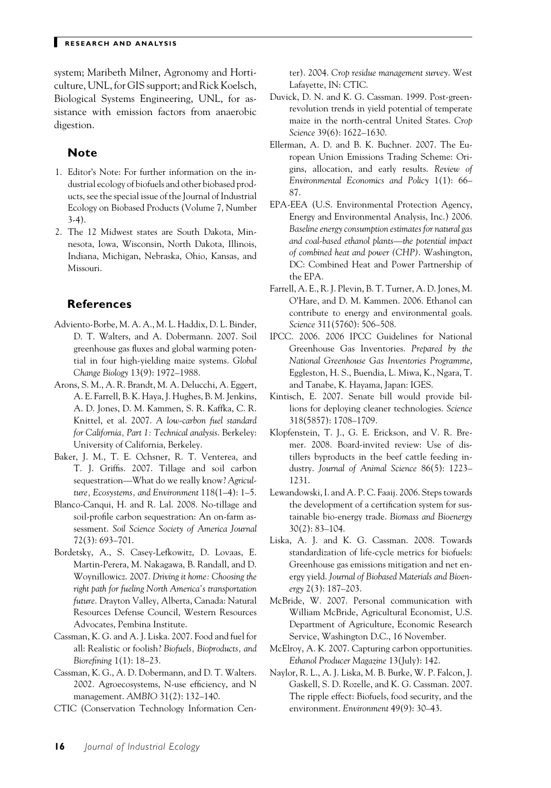system; Maribeth Milner, Agronomy and Horticulture, UNL, for GIS support; and Rick Koelsch, Biological Systems Engineering, UNL, for assistance with emission factors from anaerobic digestion.

## **Note**

- 1. Editor's Note: For further information on the industrial ecology of biofuels and other biobased products, see the special issue of the Journal of Industrial Ecology on Biobased Products (Volume 7, Number 3-4).
- 2. The 12 Midwest states are South Dakota, Minnesota, Iowa, Wisconsin, North Dakota, Illinois, Indiana, Michigan, Nebraska, Ohio, Kansas, and Missouri.

## **References**

- Adviento-Borbe, M. A. A., M. L. Haddix, D. L. Binder, D. T. Walters, and A. Dobermann. 2007. Soil greenhouse gas fluxes and global warming potential in four high-yielding maize systems. *Global Change Biology* 13(9): 1972–1988.
- Arons, S. M., A. R. Brandt, M. A. Delucchi, A. Eggert, A. E. Farrell, B. K. Haya, J. Hughes, B. M. Jenkins, A. D. Jones, D. M. Kammen, S. R. Kaffka, C. R. Knittel, et al. 2007. *A low-carbon fuel standard for California, Part 1: Technical analysis*. Berkeley: University of California, Berkeley.
- Baker, J. M., T. E. Ochsner, R. T. Venterea, and T. J. Griffis. 2007. Tillage and soil carbon sequestration—What do we really know? *Agriculture, Ecosystems, and Environment* 118(1–4): 1–5.
- Blanco-Canqui, H. and R. Lal. 2008. No-tillage and soil-profile carbon sequestration: An on-farm assessment. *Soil Science Society of America Journal* 72(3): 693–701.
- Bordetsky, A., S. Casey-Lefkowitz, D. Lovaas, E. Martin-Perera, M. Nakagawa, B. Randall, and D. Woynillowicz. 2007. *Driving it home: Choosing the right path for fueling North America's transportation future*. Drayton Valley, Alberta, Canada: Natural Resources Defense Council, Western Resources Advocates, Pembina Institute.
- Cassman, K. G. and A. J. Liska. 2007. Food and fuel for all: Realistic or foolish? *Biofuels, Bioproducts, and Biorefining* 1(1): 18–23.
- Cassman, K. G., A. D. Dobermann, and D. T. Walters. 2002. Agroecosystems, N-use efficiency, and N management. *AMBIO* 31(2): 132–140.
- CTIC (Conservation Technology Information Cen-

ter). 2004. *Crop residue management survey*. West Lafayette, IN: CTIC.

- Duvick, D. N. and K. G. Cassman. 1999. Post-greenrevolution trends in yield potential of temperate maize in the north-central United States. *Crop Science* 39(6): 1622–1630.
- Ellerman, A. D. and B. K. Buchner. 2007. The European Union Emissions Trading Scheme: Origins, allocation, and early results. *Review of Environmental Economics and Policy* 1(1): 66– 87.
- EPA-EEA (U.S. Environmental Protection Agency, Energy and Environmental Analysis, Inc.) 2006. *Baseline energy consumption estimates for natural gas and coal-based ethanol plants—the potential impact of combined heat and power (CHP)*. Washington, DC: Combined Heat and Power Partnership of the EPA.
- Farrell, A. E., R. J. Plevin, B. T. Turner, A. D. Jones, M. O'Hare, and D. M. Kammen. 2006. Ethanol can contribute to energy and environmental goals. *Science* 311(5760): 506–508.
- IPCC. 2006. 2006 IPCC Guidelines for National Greenhouse Gas Inventories. *Prepared by the National Greenhouse Gas Inventories Programme*, Eggleston, H. S., Buendia, L. Miwa, K., Ngara, T. and Tanabe, K. Hayama, Japan: IGES.
- Kintisch, E. 2007. Senate bill would provide billions for deploying cleaner technologies. *Science* 318(5857): 1708–1709.
- Klopfenstein, T. J., G. E. Erickson, and V. R. Bremer. 2008. Board-invited review: Use of distillers byproducts in the beef cattle feeding industry. *Journal of Animal Science* 86(5): 1223– 1231.
- Lewandowski, I. and A. P. C. Faaij. 2006. Steps towards the development of a certification system for sustainable bio-energy trade. *Biomass and Bioenergy* 30(2): 83–104.
- Liska, A. J. and K. G. Cassman. 2008. Towards standardization of life-cycle metrics for biofuels: Greenhouse gas emissions mitigation and net energy yield. *Journal of Biobased Materials and Bioenergy* 2(3): 187–203.
- McBride, W. 2007. Personal communication with William McBride, Agricultural Economist, U.S. Department of Agriculture, Economic Research Service, Washington D.C., 16 November.
- McElroy, A. K. 2007. Capturing carbon opportunities. *Ethanol Producer Magazine* 13(July): 142.
- Naylor, R. L., A. J. Liska, M. B. Burke, W. P. Falcon, J. Gaskell, S. D. Rozelle, and K. G. Cassman. 2007. The ripple effect: Biofuels, food security, and the environment. *Environment* 49(9): 30–43.